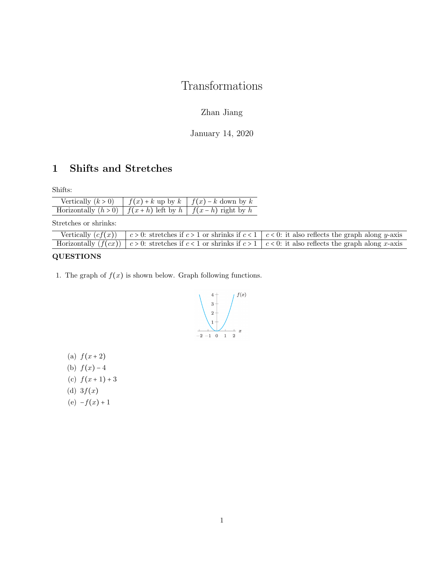# Transformations

## Zhan Jiang

January 14, 2020

## 1 Shifts and Stretches

Shifts:

| Vertically $(k > 0)$                                                  | $\int f(x) + k$ up by $k \int f(x) - k$ down by k |
|-----------------------------------------------------------------------|---------------------------------------------------|
| Horizontally $(h > 0)$   $f(x+h)$ left by $h$   $f(x-h)$ right by $h$ |                                                   |

Stretches or shrinks:

|  | Vertically $(cf(x))$ $\mid c>0$ : stretches if $c>1$ or shrinks if $c<1$ $\mid c<0$ : it also reflects the graph along y-axis |
|--|-------------------------------------------------------------------------------------------------------------------------------|
|  | Horizontally $(f(cx))   c > 0$ : stretches if $c < 1$ or shrinks if $c > 1   c < 0$ : it also reflects the graph along x-axis |

### QUESTIONS

1. The graph of  $f(x)$  is shown below. Graph following functions.



(a)  $f(x+2)$ (b)  $f(x) - 4$ (c)  $f(x+1)+3$ (d)  $3f(x)$ (e)  $-f(x) + 1$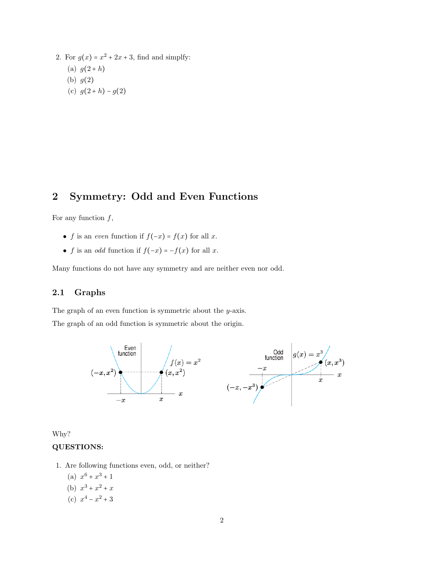2. For  $g(x) = x^2 + 2x + 3$ , find and simplfy: (a)  $g(2+h)$ (b)  $g(2)$ (c)  $g(2+h) - g(2)$ 

## 2 Symmetry: Odd and Even Functions

For any function  $f$ ,

- f is an *even* function if  $f(-x) = f(x)$  for all x.
- f is an *odd* function if  $f(-x) = -f(x)$  for all x.

Many functions do not have any symmetry and are neither even nor odd.

#### 2.1 Graphs

The graph of an even function is symmetric about the y-axis.

The graph of an odd function is symmetric about the origin.



Why?

#### QUESTIONS:

- 1. Are following functions even, odd, or neither?
	- (a)  $x^6 + x^3 + 1$
	- (b)  $x^3 + x^2 + x$
	- (c)  $x^4 x^2 + 3$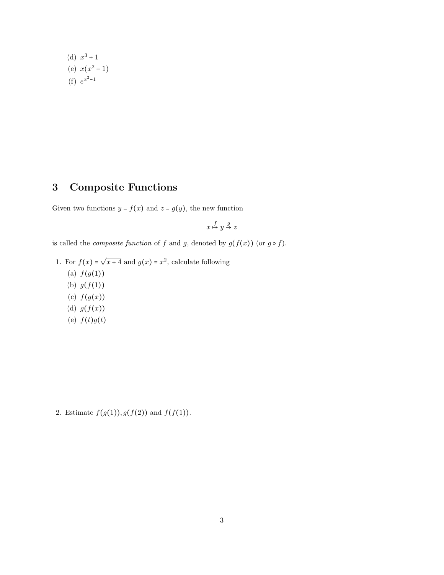(d)  $x^3 + 1$ (e)  $x(x^2-1)$  $(f) e^{x^2-1}$ 

## 3 Composite Functions

Given two functions  $y = f(x)$  and  $z = g(y)$ , the new function

$$
x \stackrel{f}{\mapsto} y \stackrel{g}{\mapsto} z
$$

is called the *composite function* of f and g, denoted by  $g(f(x))$  (or  $g \circ f$ ).

- 1. For  $f(x) = \sqrt{x+4}$  and  $g(x) = x^2$ , calculate following
	- (a)  $f(g(1))$
	- (b)  $g(f(1))$
	- (c)  $f(g(x))$
	- (d)  $g(f(x))$
	- (e)  $f(t)g(t)$

2. Estimate  $f(g(1)), g(f(2))$  and  $f(f(1))$ .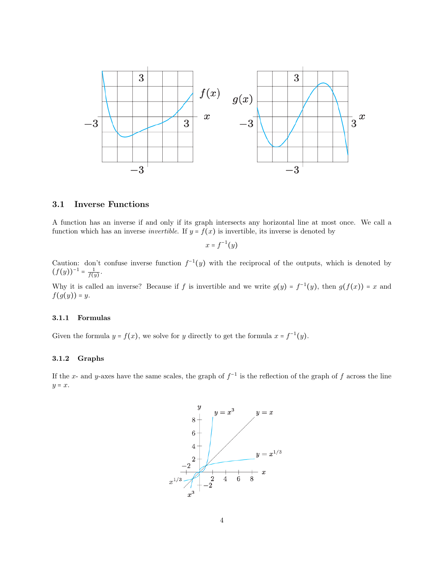

#### 3.1 Inverse Functions

A function has an inverse if and only if its graph intersects any horizontal line at most once. We call a function which has an inverse *invertible*. If  $y = f(x)$  is invertible, its inverse is denoted by

$$
x = f^{-1}(y)
$$

Caution: don't confuse inverse function  $f^{-1}(y)$  with the reciprocal of the outputs, which is denoted by  $(f(y))^{-1} = \frac{1}{f(y)}.$ 

Why it is called an inverse? Because if f is invertible and we write  $g(y) = f^{-1}(y)$ , then  $g(f(x)) = x$  and  $f(g(y)) = y.$ 

#### 3.1.1 Formulas

Given the formula  $y = f(x)$ , we solve for y directly to get the formula  $x = f^{-1}(y)$ .

#### 3.1.2 Graphs

If the x- and y-axes have the same scales, the graph of  $f^{-1}$  is the reflection of the graph of f across the line  $y = x$ .